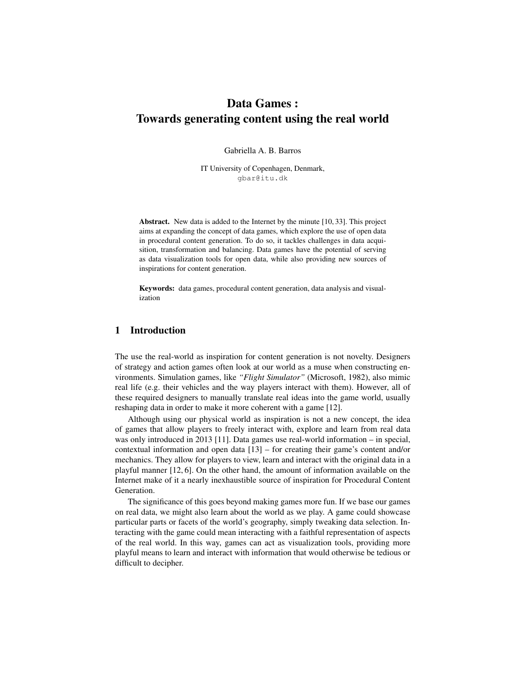# Data Games : Towards generating content using the real world

Gabriella A. B. Barros

IT University of Copenhagen, Denmark, gbar@itu.dk

Abstract. New data is added to the Internet by the minute [10, 33]. This project aims at expanding the concept of data games, which explore the use of open data in procedural content generation. To do so, it tackles challenges in data acquisition, transformation and balancing. Data games have the potential of serving as data visualization tools for open data, while also providing new sources of inspirations for content generation.

Keywords: data games, procedural content generation, data analysis and visualization

# 1 Introduction

The use the real-world as inspiration for content generation is not novelty. Designers of strategy and action games often look at our world as a muse when constructing environments. Simulation games, like *"Flight Simulator"* (Microsoft, 1982), also mimic real life (e.g. their vehicles and the way players interact with them). However, all of these required designers to manually translate real ideas into the game world, usually reshaping data in order to make it more coherent with a game [12].

Although using our physical world as inspiration is not a new concept, the idea of games that allow players to freely interact with, explore and learn from real data was only introduced in 2013 [11]. Data games use real-world information – in special, contextual information and open data [13] – for creating their game's content and/or mechanics. They allow for players to view, learn and interact with the original data in a playful manner [12, 6]. On the other hand, the amount of information available on the Internet make of it a nearly inexhaustible source of inspiration for Procedural Content Generation.

The significance of this goes beyond making games more fun. If we base our games on real data, we might also learn about the world as we play. A game could showcase particular parts or facets of the world's geography, simply tweaking data selection. Interacting with the game could mean interacting with a faithful representation of aspects of the real world. In this way, games can act as visualization tools, providing more playful means to learn and interact with information that would otherwise be tedious or difficult to decipher.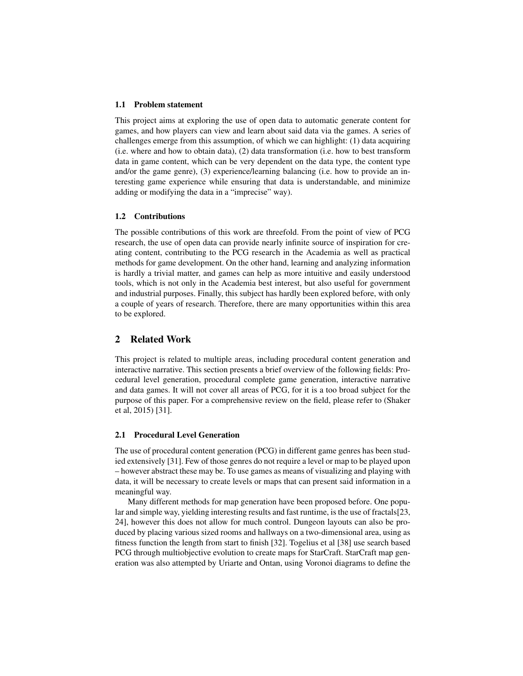#### 1.1 Problem statement

This project aims at exploring the use of open data to automatic generate content for games, and how players can view and learn about said data via the games. A series of challenges emerge from this assumption, of which we can highlight: (1) data acquiring (i.e. where and how to obtain data), (2) data transformation (i.e. how to best transform data in game content, which can be very dependent on the data type, the content type and/or the game genre), (3) experience/learning balancing (i.e. how to provide an interesting game experience while ensuring that data is understandable, and minimize adding or modifying the data in a "imprecise" way).

#### 1.2 Contributions

The possible contributions of this work are threefold. From the point of view of PCG research, the use of open data can provide nearly infinite source of inspiration for creating content, contributing to the PCG research in the Academia as well as practical methods for game development. On the other hand, learning and analyzing information is hardly a trivial matter, and games can help as more intuitive and easily understood tools, which is not only in the Academia best interest, but also useful for government and industrial purposes. Finally, this subject has hardly been explored before, with only a couple of years of research. Therefore, there are many opportunities within this area to be explored.

### 2 Related Work

This project is related to multiple areas, including procedural content generation and interactive narrative. This section presents a brief overview of the following fields: Procedural level generation, procedural complete game generation, interactive narrative and data games. It will not cover all areas of PCG, for it is a too broad subject for the purpose of this paper. For a comprehensive review on the field, please refer to (Shaker et al, 2015) [31].

#### 2.1 Procedural Level Generation

The use of procedural content generation (PCG) in different game genres has been studied extensively [31]. Few of those genres do not require a level or map to be played upon – however abstract these may be. To use games as means of visualizing and playing with data, it will be necessary to create levels or maps that can present said information in a meaningful way.

Many different methods for map generation have been proposed before. One popular and simple way, yielding interesting results and fast runtime, is the use of fractals[23, 24], however this does not allow for much control. Dungeon layouts can also be produced by placing various sized rooms and hallways on a two-dimensional area, using as fitness function the length from start to finish [32]. Togelius et al [38] use search based PCG through multiobjective evolution to create maps for StarCraft. StarCraft map generation was also attempted by Uriarte and Ontan, using Voronoi diagrams to define the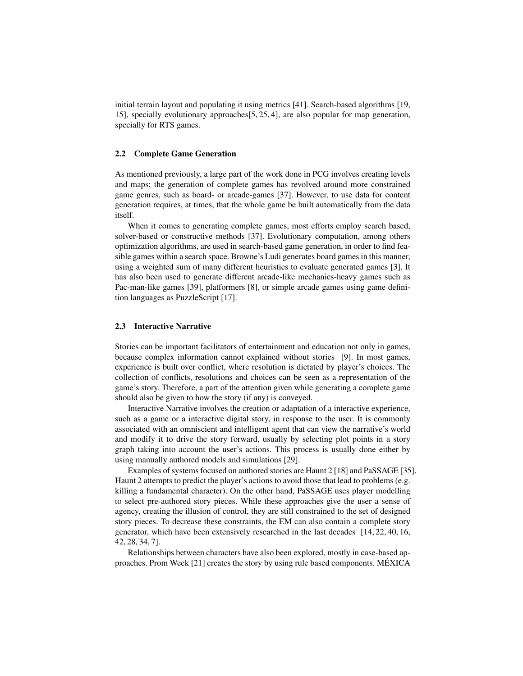initial terrain layout and populating it using metrics [41]. Search-based algorithms [19, 15], specially evolutionary approaches[5, 25, 4], are also popular for map generation, specially for RTS games.

#### 2.2 Complete Game Generation

As mentioned previously, a large part of the work done in PCG involves creating levels and maps; the generation of complete games has revolved around more constrained game genres, such as board- or arcade-games [37]. However, to use data for content generation requires, at times, that the whole game be built automatically from the data itself.

When it comes to generating complete games, most efforts employ search based, solver-based or constructive methods [37]. Evolutionary computation, among others optimization algorithms, are used in search-based game generation, in order to find feasible games within a search space. Browne's Ludi generates board games in this manner, using a weighted sum of many different heuristics to evaluate generated games [3]. It has also been used to generate different arcade-like mechanics-heavy games such as Pac-man-like games [39], platformers [8], or simple arcade games using game definition languages as PuzzleScript [17].

#### 2.3 Interactive Narrative

Stories can be important facilitators of entertainment and education not only in games, because complex information cannot explained without stories [9]. In most games, experience is built over conflict, where resolution is dictated by player's choices. The collection of conflicts, resolutions and choices can be seen as a representation of the game's story. Therefore, a part of the attention given while generating a complete game should also be given to how the story (if any) is conveyed.

Interactive Narrative involves the creation or adaptation of a interactive experience, such as a game or a interactive digital story, in response to the user. It is commonly associated with an omniscient and intelligent agent that can view the narrative's world and modify it to drive the story forward, usually by selecting plot points in a story graph taking into account the user's actions. This process is usually done either by using manually authored models and simulations [29].

Examples of systems focused on authored stories are Haunt 2 [18] and PaSSAGE [35]. Haunt 2 attempts to predict the player's actions to avoid those that lead to problems (e.g. killing a fundamental character). On the other hand, PaSSAGE uses player modelling to select pre-authored story pieces. While these approaches give the user a sense of agency, creating the illusion of control, they are still constrained to the set of designed story pieces. To decrease these constraints, the EM can also contain a complete story generator, which have been extensively researched in the last decades [14, 22, 40, 16, 42, 28, 34, 7].

Relationships between characters have also been explored, mostly in case-based approaches. Prom Week [21] creates the story by using rule based components. MEXICA ´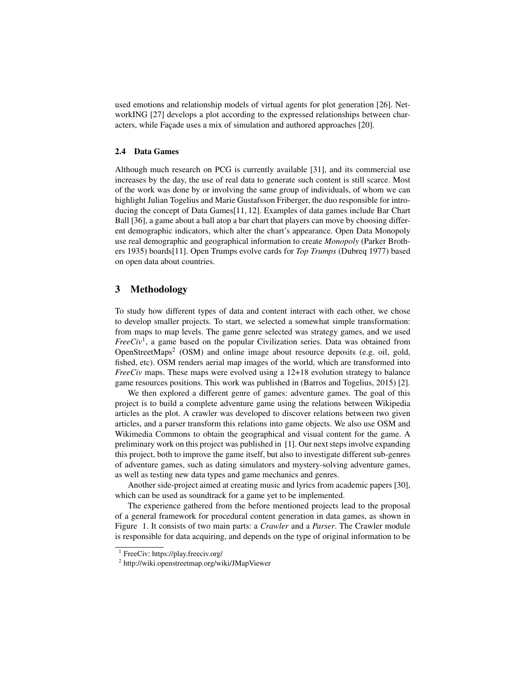used emotions and relationship models of virtual agents for plot generation [26]. NetworkING [27] develops a plot according to the expressed relationships between characters, while Façade uses a mix of simulation and authored approaches [20].

#### 2.4 Data Games

Although much research on PCG is currently available [31], and its commercial use increases by the day, the use of real data to generate such content is still scarce. Most of the work was done by or involving the same group of individuals, of whom we can highlight Julian Togelius and Marie Gustafsson Friberger, the duo responsible for introducing the concept of Data Games[11, 12]. Examples of data games include Bar Chart Ball [36], a game about a ball atop a bar chart that players can move by choosing different demographic indicators, which alter the chart's appearance. Open Data Monopoly use real demographic and geographical information to create *Monopoly* (Parker Brothers 1935) boards[11]. Open Trumps evolve cards for *Top Trumps* (Dubreq 1977) based on open data about countries.

## 3 Methodology

To study how different types of data and content interact with each other, we chose to develop smaller projects. To start, we selected a somewhat simple transformation: from maps to map levels. The game genre selected was strategy games, and we used *FreeCiv*<sup>1</sup> , a game based on the popular Civilization series. Data was obtained from OpenStreetMaps<sup>2</sup> (OSM) and online image about resource deposits (e.g. oil, gold, fished, etc). OSM renders aerial map images of the world, which are transformed into *FreeCiv* maps. These maps were evolved using a 12+18 evolution strategy to balance game resources positions. This work was published in (Barros and Togelius, 2015) [2].

We then explored a different genre of games: adventure games. The goal of this project is to build a complete adventure game using the relations between Wikipedia articles as the plot. A crawler was developed to discover relations between two given articles, and a parser transform this relations into game objects. We also use OSM and Wikimedia Commons to obtain the geographical and visual content for the game. A preliminary work on this project was published in [1]. Our next steps involve expanding this project, both to improve the game itself, but also to investigate different sub-genres of adventure games, such as dating simulators and mystery-solving adventure games, as well as testing new data types and game mechanics and genres.

Another side-project aimed at creating music and lyrics from academic papers [30], which can be used as soundtrack for a game yet to be implemented.

The experience gathered from the before mentioned projects lead to the proposal of a general framework for procedural content generation in data games, as shown in Figure 1. It consists of two main parts: a *Crawler* and a *Parser*. The Crawler module is responsible for data acquiring, and depends on the type of original information to be

<sup>1</sup> FreeCiv: https://play.freeciv.org/

<sup>2</sup> http://wiki.openstreetmap.org/wiki/JMapViewer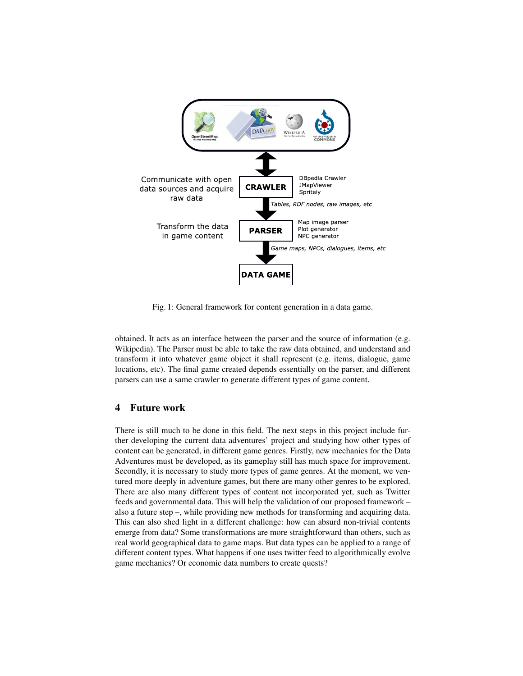

Fig. 1: General framework for content generation in a data game.

obtained. It acts as an interface between the parser and the source of information (e.g. Wikipedia). The Parser must be able to take the raw data obtained, and understand and transform it into whatever game object it shall represent (e.g. items, dialogue, game locations, etc). The final game created depends essentially on the parser, and different parsers can use a same crawler to generate different types of game content.

## 4 Future work

There is still much to be done in this field. The next steps in this project include further developing the current data adventures' project and studying how other types of content can be generated, in different game genres. Firstly, new mechanics for the Data Adventures must be developed, as its gameplay still has much space for improvement. Secondly, it is necessary to study more types of game genres. At the moment, we ventured more deeply in adventure games, but there are many other genres to be explored. There are also many different types of content not incorporated yet, such as Twitter feeds and governmental data. This will help the validation of our proposed framework – also a future step –, while providing new methods for transforming and acquiring data. This can also shed light in a different challenge: how can absurd non-trivial contents emerge from data? Some transformations are more straightforward than others, such as real world geographical data to game maps. But data types can be applied to a range of different content types. What happens if one uses twitter feed to algorithmically evolve game mechanics? Or economic data numbers to create quests?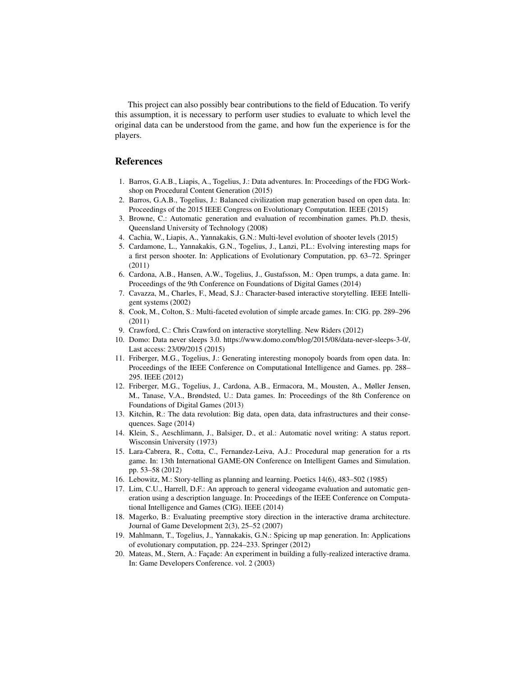This project can also possibly bear contributions to the field of Education. To verify this assumption, it is necessary to perform user studies to evaluate to which level the original data can be understood from the game, and how fun the experience is for the players.

#### References

- 1. Barros, G.A.B., Liapis, A., Togelius, J.: Data adventures. In: Proceedings of the FDG Workshop on Procedural Content Generation (2015)
- 2. Barros, G.A.B., Togelius, J.: Balanced civilization map generation based on open data. In: Proceedings of the 2015 IEEE Congress on Evolutionary Computation. IEEE (2015)
- 3. Browne, C.: Automatic generation and evaluation of recombination games. Ph.D. thesis, Queensland University of Technology (2008)
- 4. Cachia, W., Liapis, A., Yannakakis, G.N.: Multi-level evolution of shooter levels (2015)
- 5. Cardamone, L., Yannakakis, G.N., Togelius, J., Lanzi, P.L.: Evolving interesting maps for a first person shooter. In: Applications of Evolutionary Computation, pp. 63–72. Springer (2011)
- 6. Cardona, A.B., Hansen, A.W., Togelius, J., Gustafsson, M.: Open trumps, a data game. In: Proceedings of the 9th Conference on Foundations of Digital Games (2014)
- 7. Cavazza, M., Charles, F., Mead, S.J.: Character-based interactive storytelling. IEEE Intelligent systems (2002)
- 8. Cook, M., Colton, S.: Multi-faceted evolution of simple arcade games. In: CIG. pp. 289–296 (2011)
- 9. Crawford, C.: Chris Crawford on interactive storytelling. New Riders (2012)
- 10. Domo: Data never sleeps 3.0. https://www.domo.com/blog/2015/08/data-never-sleeps-3-0/, Last access: 23/09/2015 (2015)
- 11. Friberger, M.G., Togelius, J.: Generating interesting monopoly boards from open data. In: Proceedings of the IEEE Conference on Computational Intelligence and Games. pp. 288– 295. IEEE (2012)
- 12. Friberger, M.G., Togelius, J., Cardona, A.B., Ermacora, M., Mousten, A., Møller Jensen, M., Tanase, V.A., Brøndsted, U.: Data games. In: Proceedings of the 8th Conference on Foundations of Digital Games (2013)
- 13. Kitchin, R.: The data revolution: Big data, open data, data infrastructures and their consequences. Sage (2014)
- 14. Klein, S., Aeschlimann, J., Balsiger, D., et al.: Automatic novel writing: A status report. Wisconsin University (1973)
- 15. Lara-Cabrera, R., Cotta, C., Fernandez-Leiva, A.J.: Procedural map generation for a rts game. In: 13th International GAME-ON Conference on Intelligent Games and Simulation. pp. 53–58 (2012)
- 16. Lebowitz, M.: Story-telling as planning and learning. Poetics 14(6), 483–502 (1985)
- 17. Lim, C.U., Harrell, D.F.: An approach to general videogame evaluation and automatic generation using a description language. In: Proceedings of the IEEE Conference on Computational Intelligence and Games (CIG). IEEE (2014)
- 18. Magerko, B.: Evaluating preemptive story direction in the interactive drama architecture. Journal of Game Development 2(3), 25–52 (2007)
- 19. Mahlmann, T., Togelius, J., Yannakakis, G.N.: Spicing up map generation. In: Applications of evolutionary computation, pp. 224–233. Springer (2012)
- 20. Mateas, M., Stern, A.: Façade: An experiment in building a fully-realized interactive drama. In: Game Developers Conference. vol. 2 (2003)